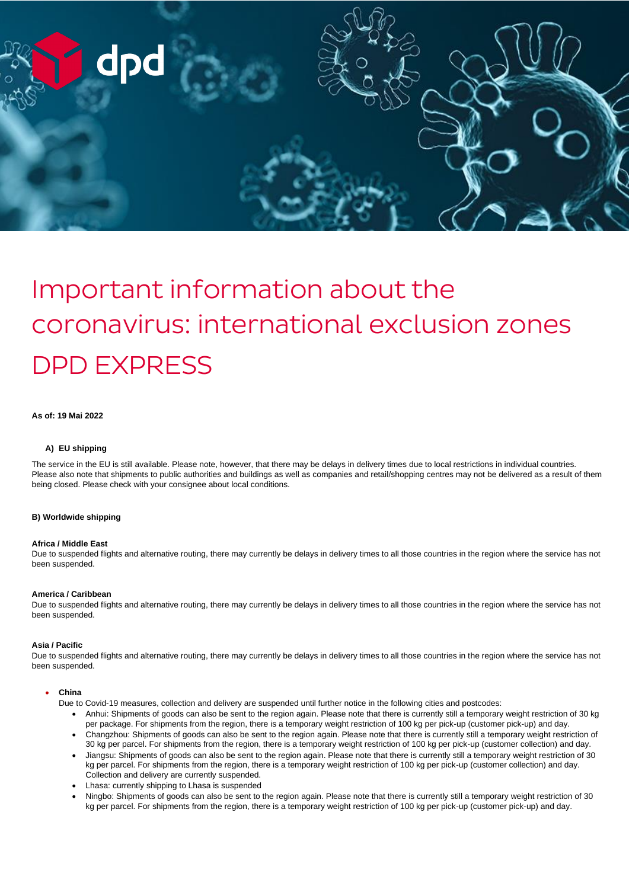

# Important information about the coronavirus: international exclusion zones DPD EXPRESS

**As of: 19 Mai 2022**

## **A) EU shipping**

The service in the EU is still available. Please note, however, that there may be delays in delivery times due to local restrictions in individual countries. Please also note that shipments to public authorities and buildings as well as companies and retail/shopping centres may not be delivered as a result of them being closed. Please check with your consignee about local conditions.

#### **B) Worldwide shipping**

#### **Africa / Middle East**

Due to suspended flights and alternative routing, there may currently be delays in delivery times to all those countries in the region where the service has not been suspended.

#### **America / Caribbean**

Due to suspended flights and alternative routing, there may currently be delays in delivery times to all those countries in the region where the service has not been suspended.

#### **Asia / Pacific**

Due to suspended flights and alternative routing, there may currently be delays in delivery times to all those countries in the region where the service has not been suspended.

### • **China**

Due to Covid-19 measures, collection and delivery are suspended until further notice in the following cities and postcodes:

- Anhui: Shipments of goods can also be sent to the region again. Please note that there is currently still a temporary weight restriction of 30 kg per package. For shipments from the region, there is a temporary weight restriction of 100 kg per pick-up (customer pick-up) and day.
- Changzhou: Shipments of goods can also be sent to the region again. Please note that there is currently still a temporary weight restriction of 30 kg per parcel. For shipments from the region, there is a temporary weight restriction of 100 kg per pick-up (customer collection) and day.
- Jiangsu: Shipments of goods can also be sent to the region again. Please note that there is currently still a temporary weight restriction of 30 kg per parcel. For shipments from the region, there is a temporary weight restriction of 100 kg per pick-up (customer collection) and day. Collection and delivery are currently suspended.
- Lhasa: currently shipping to Lhasa is suspended
- Ningbo: Shipments of goods can also be sent to the region again. Please note that there is currently still a temporary weight restriction of 30 kg per parcel. For shipments from the region, there is a temporary weight restriction of 100 kg per pick-up (customer pick-up) and day.